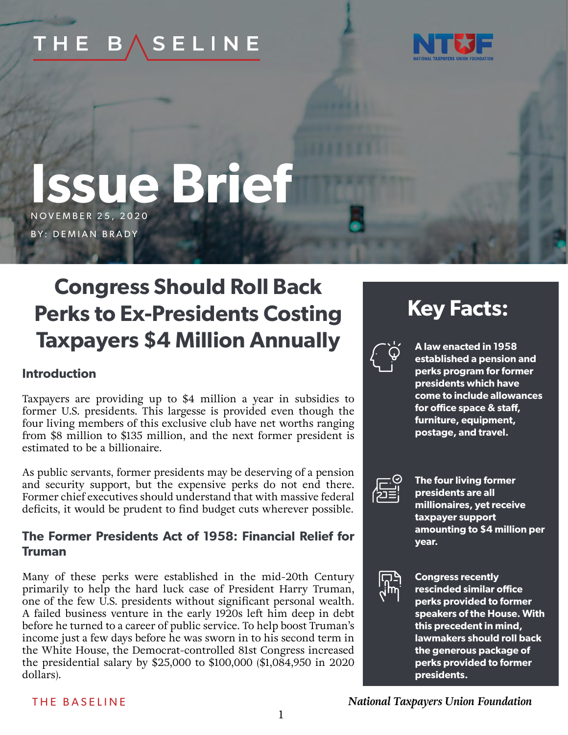#### **SELINE** THE В.



# **Issue Brief** NOVEMBER 25, 2020

BY: DEMIAN BRADY

# **Congress Should Roll Back Perks to Ex-Presidents Costing Taxpayers \$4 Million Annually**

## **Introduction**

Taxpayers are providing up to \$4 million a year in subsidies to former U.S. presidents. This largesse is provided even though the four living members of this exclusive club have net worths ranging from \$8 million to \$135 million, and the next former president is estimated to be a billionaire.

As public servants, former presidents may be deserving of a pension and security support, but the expensive perks do not end there. Former chief executives should understand that with massive federal deficits, it would be prudent to find budget cuts wherever possible.

# **The Former Presidents Act of 1958: Financial Relief for Truman**

Many of these perks were established in the mid-20th Century primarily to help the hard luck case of President Harry Truman, one of the few U.S. presidents without significant personal wealth. A failed business venture in the early 1920s left him deep in debt before he turned to a career of public service. To help boost Truman's income just a few days before he was sworn in to his second term in the White House, the Democrat-controlled 81st Congress increased the presidential salary by \$25,000 to \$100,000 (\$1,084,950 in 2020 dollars).

# **Key Facts:**



**A law enacted in 1958 established a pension and perks program for former presidents which have come to include allowances for office space & staff, furniture, equipment, postage, and travel.**



**The four living former presidents are all millionaires, yet receive taxpayer support amounting to \$4 million per year.**



**Congress recently rescinded similar office perks provided to former speakers of the House. With this precedent in mind, lawmakers should roll back the generous package of perks provided to former presidents.**

#### THE BASELINE

*National Taxpayers Union Foundation*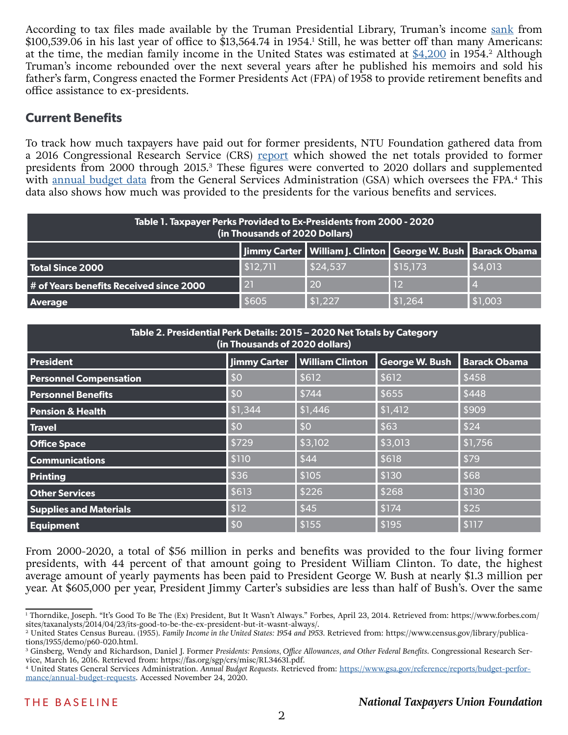According to tax files made available by the Truman Presidential Library, Truman's income [sank](https://www.forbes.com/sites/taxanalysts/2014/04/23/its-good-to-be-the-ex-president-but-it-wasnt-always/) from \$100,539.06 in his last year of office to \$13,564.74 in 1954.<sup>1</sup> Still, he was better off than many Americans: at the time, the median family income in the United States was estimated at  $$4,200$  in 1954.<sup>2</sup> Although Truman's income rebounded over the next several years after he published his memoirs and sold his father's farm, Congress enacted the Former Presidents Act (FPA) of 1958 to provide retirement benefits and office assistance to ex-presidents.

# **Current Benefits**

To track how much taxpayers have paid out for former presidents, NTU Foundation gathered data from a 2016 Congressional Research Service (CRS) [report](https://fas.org/sgp/crs/misc/RL34631.pdf) which showed the net totals provided to former presidents from 2000 through 2015.<sup>3</sup> These figures were converted to 2020 dollars and supplemented with [annual budget data](https://www.gsa.gov/reference/reports/budget-performance/annual-budget-requests) from the General Services Administration (GSA) which oversees the FPA.<sup>4</sup> This data also shows how much was provided to the presidents for the various benefits and services.

| Table 1. Taxpayer Perks Provided to Ex-Presidents from 2000 - 2020<br>(in Thousands of 2020 Dollars) |                 |                                                                   |          |         |  |  |
|------------------------------------------------------------------------------------------------------|-----------------|-------------------------------------------------------------------|----------|---------|--|--|
|                                                                                                      |                 | Jimmy Carter   William J. Clinton   George W. Bush   Barack Obama |          |         |  |  |
| Total Since 2000                                                                                     | \$12,711        | \$24,537                                                          | \$15,173 | \$4,013 |  |  |
| # of Years benefits Received since 2000                                                              | $\overline{21}$ | 20                                                                | 12       |         |  |  |
| Average                                                                                              | \$605           | \$1,227                                                           | \$1,264  | \$1,003 |  |  |

| Table 2. Presidential Perk Details: 2015 - 2020 Net Totals by Category<br>(in Thousands of 2020 dollars) |                     |                        |                |                     |  |  |
|----------------------------------------------------------------------------------------------------------|---------------------|------------------------|----------------|---------------------|--|--|
| <b>President</b>                                                                                         | <b>Jimmy Carter</b> | <b>William Clinton</b> | George W. Bush | <b>Barack Obama</b> |  |  |
| <b>Personnel Compensation</b>                                                                            | \$0                 | \$612                  | \$612          | \$458               |  |  |
| <b>Personnel Benefits</b>                                                                                | \$0                 | \$744                  | \$655          | \$448               |  |  |
| <b>Pension &amp; Health</b>                                                                              | \$1,344             | \$1,446                | \$1,412        | \$909               |  |  |
| <b>Travel</b>                                                                                            | \$0                 | \$0                    | \$63           | \$24                |  |  |
| <b>Office Space</b>                                                                                      | \$729               | \$3,102                | \$3,013        | \$1,756             |  |  |
| <b>Communications</b>                                                                                    | \$110               | \$44                   | \$618          | \$79                |  |  |
| <b>Printing</b>                                                                                          | \$36                | \$105                  | \$130          | \$68                |  |  |
| <b>Other Services</b>                                                                                    | \$613               | \$226                  | \$268          | \$130               |  |  |
| <b>Supplies and Materials</b>                                                                            | \$12                | \$45                   | \$174          | \$25                |  |  |
| <b>Equipment</b>                                                                                         | \$0                 | \$155                  | \$195          | \$117               |  |  |

From 2000-2020, a total of \$56 million in perks and benefits was provided to the four living former presidents, with 44 percent of that amount going to President William Clinton. To date, the highest average amount of yearly payments has been paid to President George W. Bush at nearly \$1.3 million per year. At \$605,000 per year, President Jimmy Carter's subsidies are less than half of Bush's. Over the same

<sup>1</sup> Thorndike, Joseph. "It's Good To Be The (Ex) President, But It Wasn't Always." Forbes, April 23, 2014. Retrieved from: https://www.forbes.com/ sites/taxanalysts/2014/04/23/its-good-to-be-the-ex-president-but-it-wasnt-always/.

<sup>&</sup>lt;sup>2</sup> United States Census Bureau. (1955). *Family Income in the United States: 1954 and 1953*. Retrieved from: https://www.census.gov/library/publications/1955/demo/p60-020.html.

<sup>&</sup>lt;sup>3</sup> Ginsberg, Wendy and Richardson, Daniel J. Former *Presidents: Pensions, Office Allowances, and Other Federal Benefits. Congressional Research Ser*vice, March 16, 2016. Retrieved from: https://fas.org/sgp/crs/misc/RL34631.pdf.

<sup>4</sup> United States General Services Administration. *Annual Budget Requests*. Retrieved from: [https://www.gsa.gov/reference/reports/budget-perfor](https://www.gsa.gov/reference/reports/budget-performance/annual-budget-requests)[mance/annual-budget-requests](https://www.gsa.gov/reference/reports/budget-performance/annual-budget-requests). Accessed November 24, 2020.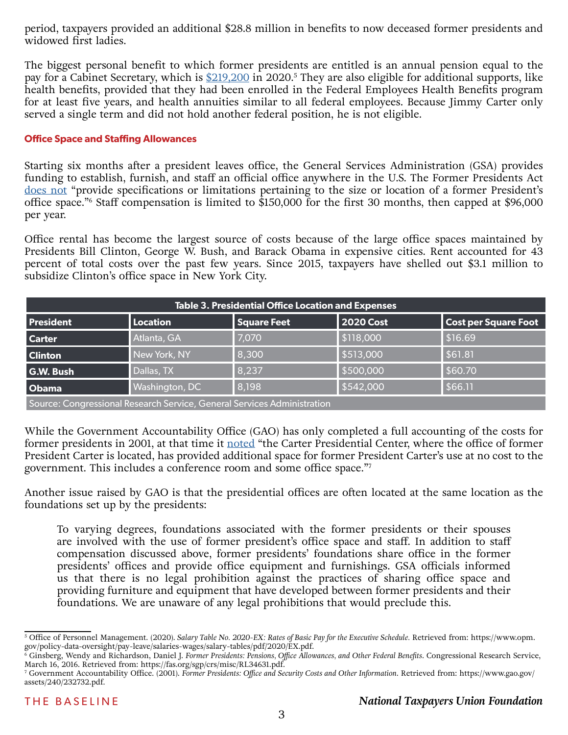period, taxpayers provided an additional \$28.8 million in benefits to now deceased former presidents and widowed first ladies.

The biggest personal benefit to which former presidents are entitled is an annual pension equal to the pay for a Cabinet Secretary, which is [\\$219,200](https://www.opm.gov/policy-data-oversight/pay-leave/salaries-wages/salary-tables/pdf/2020/EX.pdf) in 2020.<sup>5</sup> They are also eligible for additional supports, like health benefits, provided that they had been enrolled in the Federal Employees Health Benefits program for at least five years, and health annuities similar to all federal employees. Because Jimmy Carter only served a single term and did not hold another federal position, he is not eligible.

#### **Office Space and Staffing Allowances**

Starting six months after a president leaves office, the General Services Administration (GSA) provides funding to establish, furnish, and staff an official office anywhere in the U.S. The Former Presidents Act [does not](https://fas.org/sgp/crs/misc/RL34631.pdf) "provide specifications or limitations pertaining to the size or location of a former President's office space."6 Staff compensation is limited to \$150,000 for the first 30 months, then capped at \$96,000 per year.

Office rental has become the largest source of costs because of the large office spaces maintained by Presidents Bill Clinton, George W. Bush, and Barack Obama in expensive cities. Rent accounted for 43 percent of total costs over the past few years. Since 2015, taxpayers have shelled out \$3.1 million to subsidize Clinton's office space in New York City.

| <b>Table 3. Presidential Office Location and Expenses</b>               |                       |                    |           |                             |  |
|-------------------------------------------------------------------------|-----------------------|--------------------|-----------|-----------------------------|--|
| <b>President</b>                                                        | Location              | <b>Square Feet</b> | 2020 Cost | <b>Cost per Square Foot</b> |  |
| <b>Carter</b>                                                           | Atlanta, GA           | 7,070              | \$118,000 | \$16.69                     |  |
| <b>Clinton</b>                                                          | New York, NY          | 8,300              | \$513,000 | \$61.81                     |  |
| <b>G.W. Bush</b>                                                        | Dallas, TX            | 8,237              | \$500,000 | \$60.70                     |  |
| Obama                                                                   | <b>Washington, DC</b> | 8,198              | \$542,000 | \$66.11                     |  |
| Source: Congressional Research Service, General Services Administration |                       |                    |           |                             |  |

While the Government Accountability Office (GAO) has only completed a full accounting of the costs for former presidents in 2001, at that time it [noted](https://www.gao.gov/assets/240/232732.pdf) "the Carter Presidential Center, where the office of former President Carter is located, has provided additional space for former President Carter's use at no cost to the

government. This includes a conference room and some office space."7

Another issue raised by GAO is that the presidential offices are often located at the same location as the foundations set up by the presidents:

To varying degrees, foundations associated with the former presidents or their spouses are involved with the use of former president's office space and staff. In addition to staff compensation discussed above, former presidents' foundations share office in the former presidents' offices and provide office equipment and furnishings. GSA officials informed us that there is no legal prohibition against the practices of sharing office space and providing furniture and equipment that have developed between former presidents and their foundations. We are unaware of any legal prohibitions that would preclude this.

<sup>5</sup> Office of Personnel Management. (2020). *Salary Table No. 2020-EX: Rates of Basic Pay for the Executive Schedule.* Retrieved from: https://www.opm. gov/policy-data-oversight/pay-leave/salaries-wages/salary-tables/pdf/2020/EX.pdf.

<sup>6</sup> Ginsberg, Wendy and Richardson, Daniel J. *Former Presidents: Pensions, Office Allowances, and Other Federal Benefits*. Congressional Research Service, March 16, 2016. Retrieved from: https://fas.org/sgp/crs/misc/RL34631.pdf.

<sup>7</sup> Government Accountability Office. (2001). *Former Presidents: Office and Security Costs and Other Information*. Retrieved from: https://www.gao.gov/ assets/240/232732.pdf.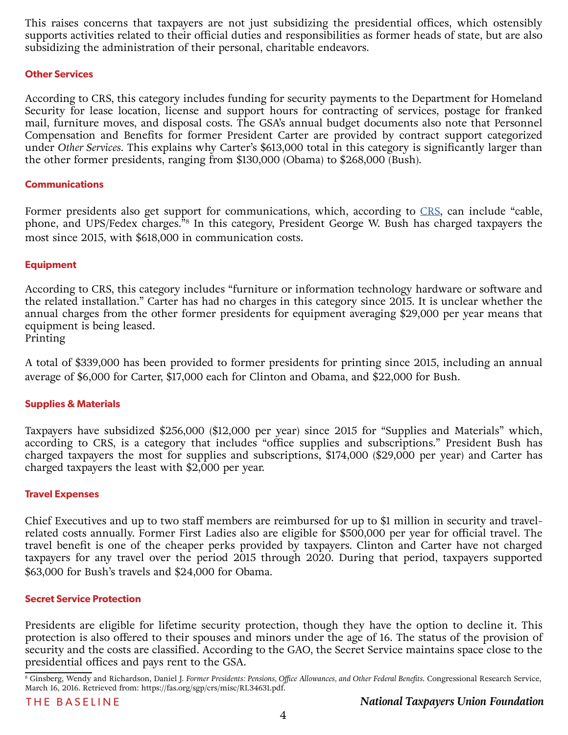This raises concerns that taxpayers are not just subsidizing the presidential offices, which ostensibly supports activities related to their official duties and responsibilities as former heads of state, but are also subsidizing the administration of their personal, charitable endeavors.

#### **Other Services**

According to CRS, this category includes funding for security payments to the Department for Homeland Security for lease location, license and support hours for contracting of services, postage for franked mail, furniture moves, and disposal costs. The GSA's annual budget documents also note that Personnel Compensation and Benefits for former President Carter are provided by contract support categorized under *Other Services*. This explains why Carter's \$613,000 total in this category is significantly larger than the other former presidents, ranging from \$130,000 (Obama) to \$268,000 (Bush).

#### **Communications**

Former presidents also get support for communications, which, according to [CRS,](https://fas.org/sgp/crs/misc/RL34631.pdf) can include "cable, phone, and UPS/Fedex charges.<sup>58</sup> In this category, President George W. Bush has charged taxpayers the most since 2015, with \$618,000 in communication costs.

#### **Equipment**

According to CRS, this category includes "furniture or information technology hardware or software and the related installation." Carter has had no charges in this category since 2015. It is unclear whether the annual charges from the other former presidents for equipment averaging \$29,000 per year means that equipment is being leased.

#### Printing

A total of \$339,000 has been provided to former presidents for printing since 2015, including an annual average of \$6,000 for Carter, \$17,000 each for Clinton and Obama, and \$22,000 for Bush.

#### **Supplies & Materials**

Taxpayers have subsidized \$256,000 (\$12,000 per year) since 2015 for "Supplies and Materials" which, according to CRS, is a category that includes "office supplies and subscriptions." President Bush has charged taxpayers the most for supplies and subscriptions, \$174,000 (\$29,000 per year) and Carter has charged taxpayers the least with \$2,000 per year.

#### **Travel Expenses**

Chief Executives and up to two staff members are reimbursed for up to \$1 million in security and travelrelated costs annually. Former First Ladies also are eligible for \$500,000 per year for official travel. The travel benefit is one of the cheaper perks provided by taxpayers. Clinton and Carter have not charged taxpayers for any travel over the period 2015 through 2020. During that period, taxpayers supported \$63,000 for Bush's travels and \$24,000 for Obama.

#### **Secret Service Protection**

Presidents are eligible for lifetime security protection, though they have the option to decline it. This protection is also offered to their spouses and minors under the age of 16. The status of the provision of security and the costs are classified. According to the GAO, the Secret Service maintains space close to the presidential offices and pays rent to the GSA.

<sup>8</sup> Ginsberg, Wendy and Richardson, Daniel J. *Former Presidents: Pensions, Office Allowances, and Other Federal Benefits*. Congressional Research Service, March 16, 2016. Retrieved from: https://fas.org/sgp/crs/misc/RL34631.pdf.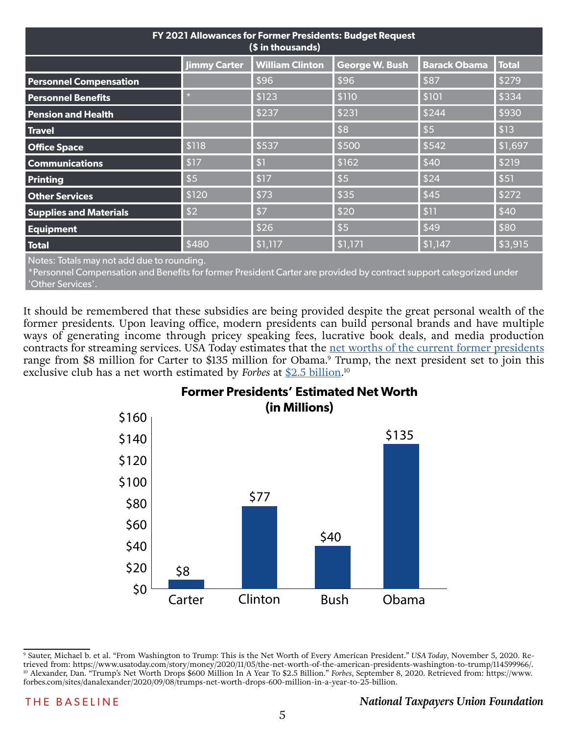| FY 2021 Allowances for Former Presidents: Budget Request<br>(\$ in thousands) |                     |                        |                       |                     |              |  |
|-------------------------------------------------------------------------------|---------------------|------------------------|-----------------------|---------------------|--------------|--|
|                                                                               | <b>Jimmy Carter</b> | <b>William Clinton</b> | <b>George W. Bush</b> | <b>Barack Obama</b> | <b>Total</b> |  |
| <b>Personnel Compensation</b>                                                 |                     | \$96                   | \$96                  | \$87                | \$279        |  |
| <b>Personnel Benefits</b>                                                     |                     | \$123                  | \$110                 | \$101               | \$334        |  |
| <b>Pension and Health</b>                                                     |                     | \$237                  | \$231                 | \$244               | \$930        |  |
| <b>Travel</b>                                                                 |                     |                        | \$8                   | $\sqrt{5}$          | $\vert$ \$13 |  |
| <b>Office Space</b>                                                           | \$118               | \$537                  | \$500                 | \$542               | \$1,697      |  |
| <b>Communications</b>                                                         | \$17                | \$1                    | \$162                 | \$40                | \$219        |  |
| <b>Printing</b>                                                               | \$5                 | \$17                   | \$5                   | \$24                | \$51         |  |
| <b>Other Services</b>                                                         | \$120               | \$73                   | \$35                  | \$45                | \$272        |  |
| <b>Supplies and Materials</b>                                                 | \$2                 | $\sqrt{57}$            | \$20                  | \$11                | $\vert$ \$40 |  |
| <b>Equipment</b>                                                              |                     | \$26                   | \$5                   | \$49                | \$80         |  |
| <b>Total</b>                                                                  | \$480               | \$1,117                | \$1,171               | \$1,147             | \$3,915      |  |

Notes: Totals may not add due to rounding.

\*Personnel Compensation and Benefits for former President Carter are provided by contract support categorized under 'Other Services'.

It should be remembered that these subsidies are being provided despite the great personal wealth of the former presidents. Upon leaving office, modern presidents can build personal brands and have multiple ways of generating income through pricey speaking fees, lucrative book deals, and media production contracts for streaming services. USA Today estimates that the <u>net worths of the current former presidents</u> range from \$8 million for Carter to \$135 million for Obama.<sup>9</sup> Trump, the next president set to join this exclusive club has a net worth estimated by *Forbes* at [\\$2.5 billion](https://www.forbes.com/sites/danalexander/2020/09/08/trumps-net-worth-drops-600-million-in-a-year-to-25-billion/?sh=127e608b2363). 10



# **Former Presidents' Estimated Net Worth**

<sup>9</sup> Sauter, Michael b. et al. "From Washington to Trump: This is the Net Worth of Every American President." *USA Today*, November 5, 2020. Retrieved from: https://www.usatoday.com/story/money/2020/11/05/the-net-worth-of-the-american-presidents-washington-to-trump/114599966/. 10 Alexander, Dan. "Trump's Net Worth Drops \$600 Million In A Year To \$2.5 Billion." *Forbes*, September 8, 2020. Retrieved from: https://www. forbes.com/sites/danalexander/2020/09/08/trumps-net-worth-drops-600-million-in-a-year-to-25-billion.